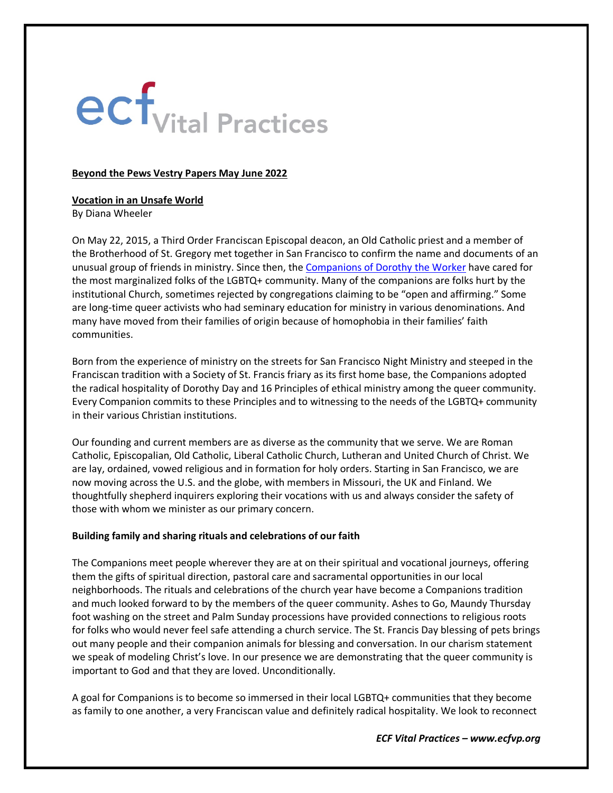# ecf<sub>Vital</sub> Practices

### **Beyond the Pews Vestry Papers May June 2022**

# **Vocation in an Unsafe World**

By Diana Wheeler

On May 22, 2015, a Third Order Franciscan Episcopal deacon, an Old Catholic priest and a member of the Brotherhood of St. Gregory met together in San Francisco to confirm the name and documents of an unusual group of friends in ministry. Since then, the **[Companions of Dorothy the Worker](https://www.companionsofdorothy.org/)** have cared for the most marginalized folks of the LGBTQ+ community. Many of the companions are folks hurt by the institutional Church, sometimes rejected by congregations claiming to be "open and affirming." Some are long-time queer activists who had seminary education for ministry in various denominations. And many have moved from their families of origin because of homophobia in their families' faith communities.

Born from the experience of ministry on the streets for San Francisco Night Ministry and steeped in the Franciscan tradition with a Society of St. Francis friary as its first home base, the Companions adopted the radical hospitality of Dorothy Day and 16 Principles of ethical ministry among the queer community. Every Companion commits to these Principles and to witnessing to the needs of the LGBTQ+ community in their various Christian institutions.

Our founding and current members are as diverse as the community that we serve. We are Roman Catholic, Episcopalian, Old Catholic, Liberal Catholic Church, Lutheran and United Church of Christ. We are lay, ordained, vowed religious and in formation for holy orders. Starting in San Francisco, we are now moving across the U.S. and the globe, with members in Missouri, the UK and Finland. We thoughtfully shepherd inquirers exploring their vocations with us and always consider the safety of those with whom we minister as our primary concern.

## **Building family and sharing rituals and celebrations of our faith**

The Companions meet people wherever they are at on their spiritual and vocational journeys, offering them the gifts of spiritual direction, pastoral care and sacramental opportunities in our local neighborhoods. The rituals and celebrations of the church year have become a Companions tradition and much looked forward to by the members of the queer community. Ashes to Go, Maundy Thursday foot washing on the street and Palm Sunday processions have provided connections to religious roots for folks who would never feel safe attending a church service. The St. Francis Day blessing of pets brings out many people and their companion animals for blessing and conversation. In our charism statement we speak of modeling Christ's love. In our presence we are demonstrating that the queer community is important to God and that they are loved. Unconditionally.

A goal for Companions is to become so immersed in their local LGBTQ+ communities that they become as family to one another, a very Franciscan value and definitely radical hospitality. We look to reconnect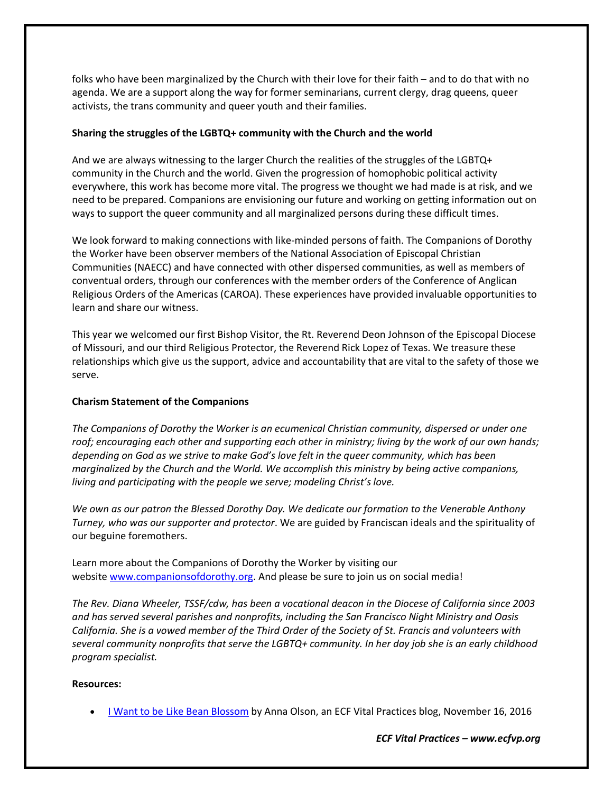folks who have been marginalized by the Church with their love for their faith – and to do that with no agenda. We are a support along the way for former seminarians, current clergy, drag queens, queer activists, the trans community and queer youth and their families.

## **Sharing the struggles of the LGBTQ+ community with the Church and the world**

And we are always witnessing to the larger Church the realities of the struggles of the LGBTQ+ community in the Church and the world. Given the progression of homophobic political activity everywhere, this work has become more vital. The progress we thought we had made is at risk, and we need to be prepared. Companions are envisioning our future and working on getting information out on ways to support the queer community and all marginalized persons during these difficult times.

We look forward to making connections with like-minded persons of faith. The Companions of Dorothy the Worker have been observer members of the National Association of Episcopal Christian Communities (NAECC) and have connected with other dispersed communities, as well as members of conventual orders, through our conferences with the member orders of the Conference of Anglican Religious Orders of the Americas (CAROA). These experiences have provided invaluable opportunities to learn and share our witness.

This year we welcomed our first Bishop Visitor, the Rt. Reverend Deon Johnson of the Episcopal Diocese of Missouri, and our third Religious Protector, the Reverend Rick Lopez of Texas. We treasure these relationships which give us the support, advice and accountability that are vital to the safety of those we serve.

## **Charism Statement of the Companions**

*The Companions of Dorothy the Worker is an ecumenical Christian community, dispersed or under one roof; encouraging each other and supporting each other in ministry; living by the work of our own hands; depending on God as we strive to make God's love felt in the queer community, which has been marginalized by the Church and the World. We accomplish this ministry by being active companions, living and participating with the people we serve; modeling Christ's love.*

*We own as our patron the Blessed Dorothy Day. We dedicate our formation to the Venerable Anthony Turney, who was our supporter and protector*. We are guided by Franciscan ideals and the spirituality of our beguine foremothers.

Learn more about the Companions of Dorothy the Worker by visiting our website [www.companionsofdorothy.org.](http://www.companionsofdorothy.org/) And please be sure to join us on social media!

*The Rev. Diana Wheeler, TSSF/cdw, has been a vocational deacon in the Diocese of California since 2003 and has served several parishes and nonprofits, including the San Francisco Night Ministry and Oasis California. She is a vowed member of the Third Order of the Society of St. Francis and volunteers with several community nonprofits that serve the LGBTQ+ community. In her day job she is an early childhood program specialist.*

#### **Resources:**

• [I Want to be Like Bean Blossom](https://www.ecfvp.org/blogs/3429/i-want-to-be-like-bean-blossom) by Anna Olson, an ECF Vital Practices blog, November 16, 2016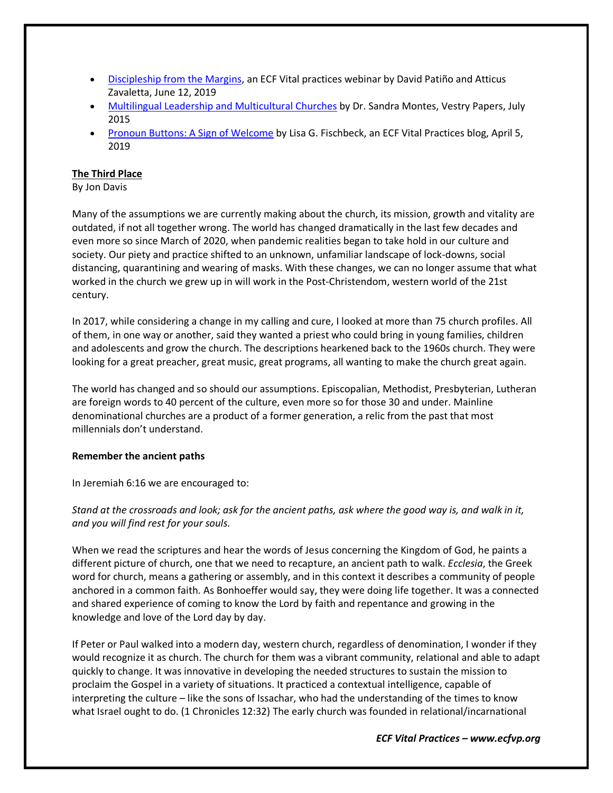- [Discipleship from the Margins,](https://www.ecfvp.org/webinars/239/discipleship-from-the-margins) an ECF Vital practices webinar by David Patiño and Atticus Zavaletta, June 12, 2019
- [Multilingual Leadership and Multicultural Churches](https://www.ecfvp.org/vestry-papers/article/513/multilingual-leadership-and-multicultural-churches) by Dr. Sandra Montes, Vestry Papers, July 2015
- [Pronoun Buttons: A Sign of Welcome](https://www.ecfvp.org/blogs/3677/pronoun-buttons-a-sign-of-welcome) by Lisa G. Fischbeck, an ECF Vital Practices blog, April 5, 2019

## **The Third Place**

By Jon Davis

Many of the assumptions we are currently making about the church, its mission, growth and vitality are outdated, if not all together wrong. The world has changed dramatically in the last few decades and even more so since March of 2020, when pandemic realities began to take hold in our culture and society. Our piety and practice shifted to an unknown, unfamiliar landscape of lock-downs, social distancing, quarantining and wearing of masks. With these changes, we can no longer assume that what worked in the church we grew up in will work in the Post-Christendom, western world of the 21st century.

In 2017, while considering a change in my calling and cure, I looked at more than 75 church profiles. All of them, in one way or another, said they wanted a priest who could bring in young families, children and adolescents and grow the church. The descriptions hearkened back to the 1960s church. They were looking for a great preacher, great music, great programs, all wanting to make the church great again.

The world has changed and so should our assumptions. Episcopalian, Methodist, Presbyterian, Lutheran are foreign words to 40 percent of the culture, even more so for those 30 and under. Mainline denominational churches are a product of a former generation, a relic from the past that most millennials don't understand.

## **Remember the ancient paths**

In Jeremiah 6:16 we are encouraged to:

*Stand at the crossroads and look; ask for the ancient paths, ask where the good way is, and walk in it, and you will find rest for your souls.*

When we read the scriptures and hear the words of Jesus concerning the Kingdom of God, he paints a different picture of church, one that we need to recapture, an ancient path to walk. *Ecclesia*, the Greek word for church, means a gathering or assembly, and in this context it describes a community of people anchored in a common faith. As Bonhoeffer would say, they were doing life together. It was a connected and shared experience of coming to know the Lord by faith and repentance and growing in the knowledge and love of the Lord day by day.

If Peter or Paul walked into a modern day, western church, regardless of denomination, I wonder if they would recognize it as church. The church for them was a vibrant community, relational and able to adapt quickly to change. It was innovative in developing the needed structures to sustain the mission to proclaim the Gospel in a variety of situations. It practiced a contextual intelligence, capable of interpreting the culture – like the sons of Issachar, who had the understanding of the times to know what Israel ought to do. (1 Chronicles 12:32) The early church was founded in relational/incarnational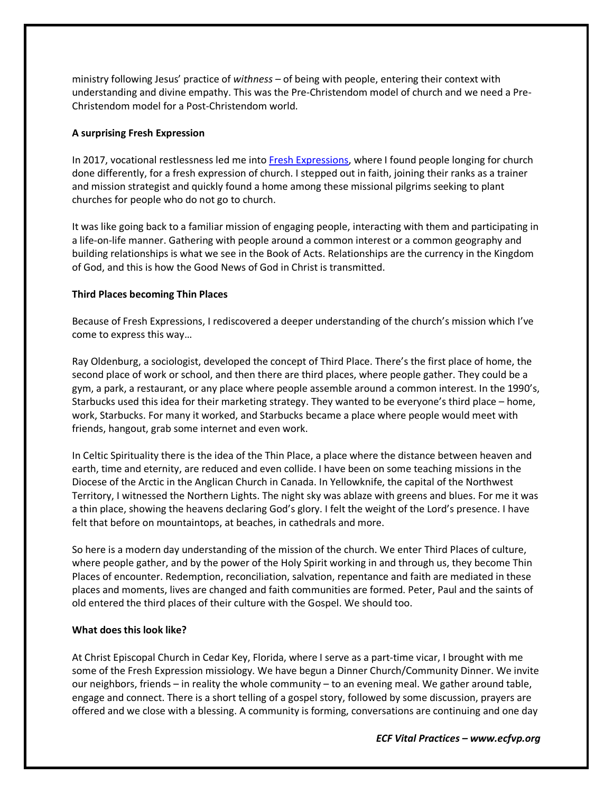ministry following Jesus' practice of *withness –* of being with people, entering their context with understanding and divine empathy. This was the Pre-Christendom model of church and we need a Pre-Christendom model for a Post-Christendom world.

## **A surprising Fresh Expression**

In 2017, vocational restlessness led me into [Fresh Expressions,](https://freshexpressions.com/about) where I found people longing for church done differently, for a fresh expression of church. I stepped out in faith, joining their ranks as a trainer and mission strategist and quickly found a home among these missional pilgrims seeking to plant churches for people who do not go to church.

It was like going back to a familiar mission of engaging people, interacting with them and participating in a life-on-life manner. Gathering with people around a common interest or a common geography and building relationships is what we see in the Book of Acts. Relationships are the currency in the Kingdom of God, and this is how the Good News of God in Christ is transmitted.

## **Third Places becoming Thin Places**

Because of Fresh Expressions, I rediscovered a deeper understanding of the church's mission which I've come to express this way…

Ray Oldenburg, a sociologist, developed the concept of Third Place. There's the first place of home, the second place of work or school, and then there are third places, where people gather. They could be a gym, a park, a restaurant, or any place where people assemble around a common interest. In the 1990's, Starbucks used this idea for their marketing strategy. They wanted to be everyone's third place – home, work, Starbucks. For many it worked, and Starbucks became a place where people would meet with friends, hangout, grab some internet and even work.

In Celtic Spirituality there is the idea of the Thin Place, a place where the distance between heaven and earth, time and eternity, are reduced and even collide. I have been on some teaching missions in the Diocese of the Arctic in the Anglican Church in Canada. In Yellowknife, the capital of the Northwest Territory, I witnessed the Northern Lights. The night sky was ablaze with greens and blues. For me it was a thin place, showing the heavens declaring God's glory. I felt the weight of the Lord's presence. I have felt that before on mountaintops, at beaches, in cathedrals and more.

So here is a modern day understanding of the mission of the church. We enter Third Places of culture, where people gather, and by the power of the Holy Spirit working in and through us, they become Thin Places of encounter. Redemption, reconciliation, salvation, repentance and faith are mediated in these places and moments, lives are changed and faith communities are formed. Peter, Paul and the saints of old entered the third places of their culture with the Gospel. We should too.

## **What does this look like?**

At Christ Episcopal Church in Cedar Key, Florida, where I serve as a part-time vicar, I brought with me some of the Fresh Expression missiology. We have begun a Dinner Church/Community Dinner. We invite our neighbors, friends – in reality the whole community – to an evening meal. We gather around table, engage and connect. There is a short telling of a gospel story, followed by some discussion, prayers are offered and we close with a blessing. A community is forming, conversations are continuing and one day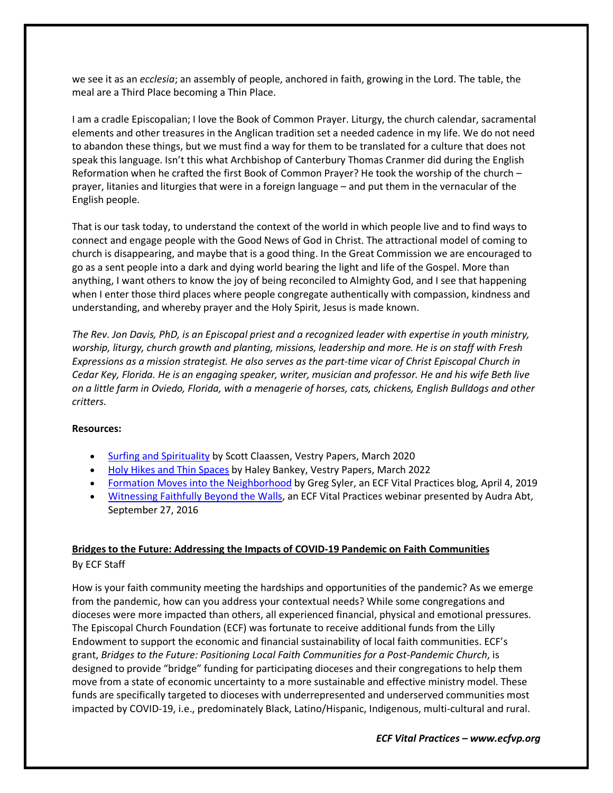we see it as an *ecclesia*; an assembly of people, anchored in faith, growing in the Lord. The table, the meal are a Third Place becoming a Thin Place.

I am a cradle Episcopalian; I love the Book of Common Prayer. Liturgy, the church calendar, sacramental elements and other treasures in the Anglican tradition set a needed cadence in my life. We do not need to abandon these things, but we must find a way for them to be translated for a culture that does not speak this language. Isn't this what Archbishop of Canterbury Thomas Cranmer did during the English Reformation when he crafted the first Book of Common Prayer? He took the worship of the church – prayer, litanies and liturgies that were in a foreign language – and put them in the vernacular of the English people.

That is our task today, to understand the context of the world in which people live and to find ways to connect and engage people with the Good News of God in Christ. The attractional model of coming to church is disappearing, and maybe that is a good thing. In the Great Commission we are encouraged to go as a sent people into a dark and dying world bearing the light and life of the Gospel. More than anything, I want others to know the joy of being reconciled to Almighty God, and I see that happening when I enter those third places where people congregate authentically with compassion, kindness and understanding, and whereby prayer and the Holy Spirit, Jesus is made known.

*The Rev. Jon Davis, PhD, is an Episcopal priest and a recognized leader with expertise in youth ministry, worship, liturgy, church growth and planting, missions, leadership and more. He is on staff with Fresh Expressions as a mission strategist. He also serves as the part-time vicar of Christ Episcopal Church in Cedar Key, Florida. He is an engaging speaker, writer, musician and professor. He and his wife Beth live on a little farm in Oviedo, Florida, with a menagerie of horses, cats, chickens, English Bulldogs and other critters.*

## **Resources:**

- [Surfing and Spirituality](https://www.ecfvp.org/vestry-papers/article/829/surfing-and-spirituality) by Scott Claassen, Vestry Papers, March 2020
- [Holy Hikes and Thin Spaces](https://www.ecfvp.org/vestry-papers/vestry-papers/article/989/holy-hikes-and-thin-spaces) by Haley Bankey, Vestry Papers, March 2022
- [Formation Moves into the Neighborhood](https://www.ecfvp.org/blogs/3673/formation-moves-into-the-neighborhood) by Greg Syler, an ECF Vital Practices blog, April 4, 2019
- [Witnessing Faithfully Beyond the Walls,](https://www.ecfvp.org/webinars/178/witnessing-faithfully-beyond-the-walls) an ECF Vital Practices webinar presented by Audra Abt, September 27, 2016

## **Bridges to the Future: Addressing the Impacts of COVID-19 Pandemic on Faith Communities** By ECF Staff

How is your faith community meeting the hardships and opportunities of the pandemic? As we emerge from the pandemic, how can you address your contextual needs? While some congregations and dioceses were more impacted than others, all experienced financial, physical and emotional pressures. The Episcopal Church Foundation (ECF) was fortunate to receive additional funds from the Lilly Endowment to support the economic and financial sustainability of local faith communities. ECF's grant, *Bridges to the Future: Positioning Local Faith Communities for a Post-Pandemic Church*, is designed to provide "bridge" funding for participating dioceses and their congregations to help them move from a state of economic uncertainty to a more sustainable and effective ministry model. These funds are specifically targeted to dioceses with underrepresented and underserved communities most impacted by COVID-19, i.e., predominately Black, Latino/Hispanic, Indigenous, multi-cultural and rural.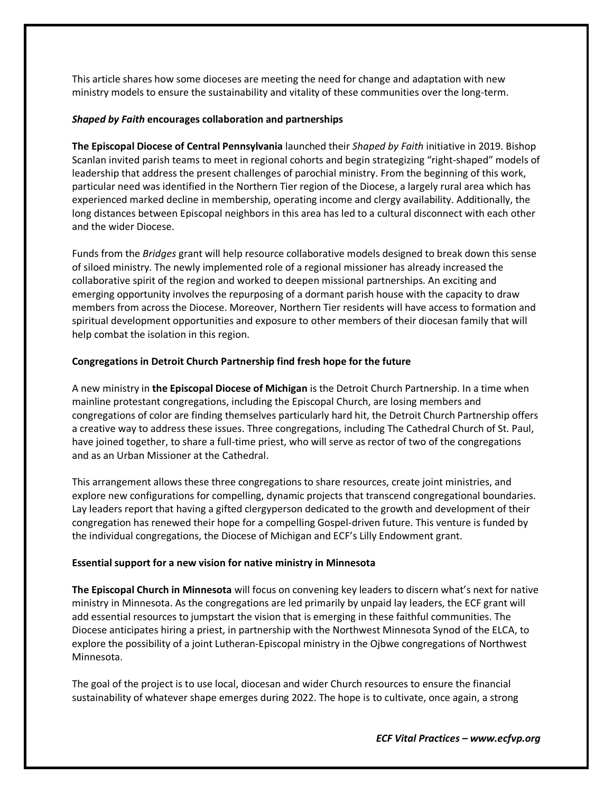This article shares how some dioceses are meeting the need for change and adaptation with new ministry models to ensure the sustainability and vitality of these communities over the long-term.

#### *Shaped by Faith* **encourages collaboration and partnerships**

**The Episcopal Diocese of Central Pennsylvania** launched their *Shaped by Faith* initiative in 2019. Bishop Scanlan invited parish teams to meet in regional cohorts and begin strategizing "right-shaped" models of leadership that address the present challenges of parochial ministry. From the beginning of this work, particular need was identified in the Northern Tier region of the Diocese, a largely rural area which has experienced marked decline in membership, operating income and clergy availability. Additionally, the long distances between Episcopal neighbors in this area has led to a cultural disconnect with each other and the wider Diocese.

Funds from the *Bridges* grant will help resource collaborative models designed to break down this sense of siloed ministry. The newly implemented role of a regional missioner has already increased the collaborative spirit of the region and worked to deepen missional partnerships. An exciting and emerging opportunity involves the repurposing of a dormant parish house with the capacity to draw members from across the Diocese. Moreover, Northern Tier residents will have access to formation and spiritual development opportunities and exposure to other members of their diocesan family that will help combat the isolation in this region.

## **Congregations in Detroit Church Partnership find fresh hope for the future**

A new ministry in **the Episcopal Diocese of Michigan** is the Detroit Church Partnership. In a time when mainline protestant congregations, including the Episcopal Church, are losing members and congregations of color are finding themselves particularly hard hit, the Detroit Church Partnership offers a creative way to address these issues. Three congregations, including The Cathedral Church of St. Paul, have joined together, to share a full-time priest, who will serve as rector of two of the congregations and as an Urban Missioner at the Cathedral.

This arrangement allows these three congregations to share resources, create joint ministries, and explore new configurations for compelling, dynamic projects that transcend congregational boundaries. Lay leaders report that having a gifted clergyperson dedicated to the growth and development of their congregation has renewed their hope for a compelling Gospel-driven future. This venture is funded by the individual congregations, the Diocese of Michigan and ECF's Lilly Endowment grant.

#### **Essential support for a new vision for native ministry in Minnesota**

**The Episcopal Church in Minnesota** will focus on convening key leaders to discern what's next for native ministry in Minnesota. As the congregations are led primarily by unpaid lay leaders, the ECF grant will add essential resources to jumpstart the vision that is emerging in these faithful communities. The Diocese anticipates hiring a priest, in partnership with the Northwest Minnesota Synod of the ELCA, to explore the possibility of a joint Lutheran-Episcopal ministry in the Ojbwe congregations of Northwest Minnesota.

The goal of the project is to use local, diocesan and wider Church resources to ensure the financial sustainability of whatever shape emerges during 2022. The hope is to cultivate, once again, a strong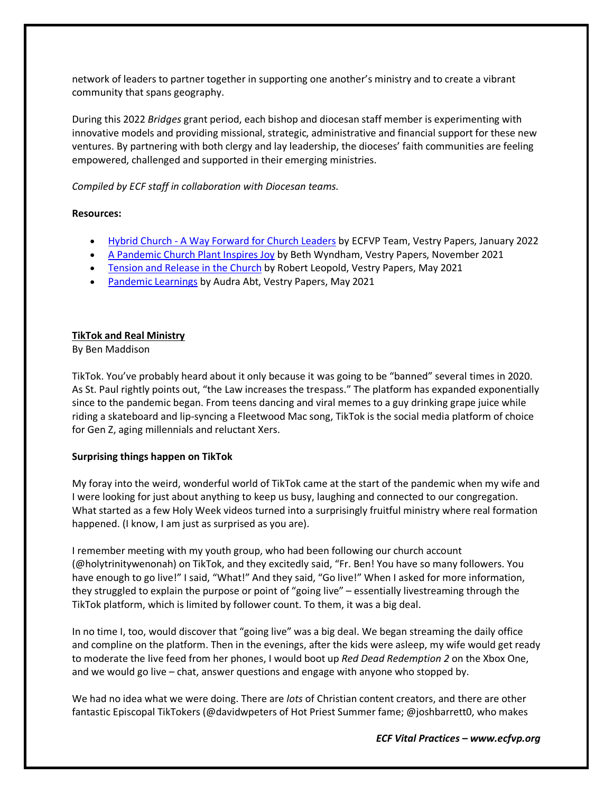network of leaders to partner together in supporting one another's ministry and to create a vibrant community that spans geography.

During this 2022 *Bridges* grant period, each bishop and diocesan staff member is experimenting with innovative models and providing missional, strategic, administrative and financial support for these new ventures. By partnering with both clergy and lay leadership, the dioceses' faith communities are feeling empowered, challenged and supported in their emerging ministries.

*Compiled by ECF staff in collaboration with Diocesan teams.*

## **Resources:**

- [Hybrid Church A Way Forward for Church Leaders](https://www.ecfvp.org/vestry-papers/article/979/hybrid-church-a-way-forward-for-church-leaders) by ECFVP Team, Vestry Papers, January 2022
- [A Pandemic Church Plant Inspires Joy](https://www.ecfvp.org/vestry-papers/article/967/a-pandemic-church-plant-inspires-joy) by Beth Wyndham, Vestry Papers, November 2021
- [Tension and Release in the Church](https://www.ecfvp.org/vestry-papers/article/930/tension-and-release-in-the-church) by Robert Leopold, Vestry Papers, May 2021
- [Pandemic Learnings](https://www.ecfvp.org/vestry-papers/article/921/pandemic-learnings) by Audra Abt, Vestry Papers, May 2021

## **TikTok and Real Ministry**

By Ben Maddison

TikTok. You've probably heard about it only because it was going to be "banned" several times in 2020. As St. Paul rightly points out, "the Law increases the trespass." The platform has expanded exponentially since to the pandemic began. From teens dancing and viral memes to a guy drinking grape juice while riding a skateboard and lip-syncing a Fleetwood Mac song, TikTok is the social media platform of choice for Gen Z, aging millennials and reluctant Xers.

## **Surprising things happen on TikTok**

My foray into the weird, wonderful world of TikTok came at the start of the pandemic when my wife and I were looking for just about anything to keep us busy, laughing and connected to our congregation. What started as a few Holy Week videos turned into a surprisingly fruitful ministry where real formation happened. (I know, I am just as surprised as you are).

I remember meeting with my youth group, who had been following our church account (@holytrinitywenonah) on TikTok, and they excitedly said, "Fr. Ben! You have so many followers. You have enough to go live!" I said, "What!" And they said, "Go live!" When I asked for more information, they struggled to explain the purpose or point of "going live" – essentially livestreaming through the TikTok platform, which is limited by follower count. To them, it was a big deal.

In no time I, too, would discover that "going live" was a big deal. We began streaming the daily office and compline on the platform. Then in the evenings, after the kids were asleep, my wife would get ready to moderate the live feed from her phones, I would boot up *Red Dead Redemption 2* on the Xbox One, and we would go live – chat, answer questions and engage with anyone who stopped by.

We had no idea what we were doing. There are *lots* of Christian content creators, and there are other fantastic Episcopal TikTokers (@davidwpeters of Hot Priest Summer fame; @joshbarrett0, who makes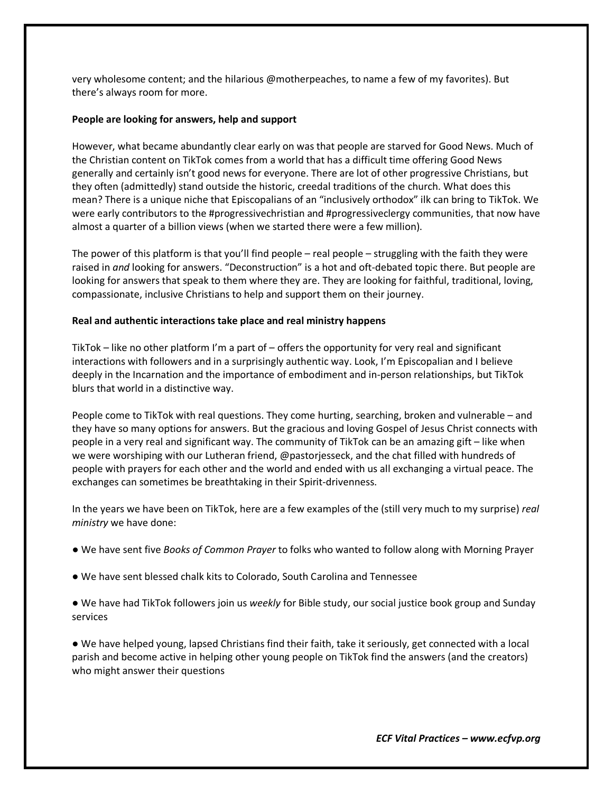very wholesome content; and the hilarious @motherpeaches, to name a few of my favorites). But there's always room for more.

#### **People are looking for answers, help and support**

However, what became abundantly clear early on was that people are starved for Good News. Much of the Christian content on TikTok comes from a world that has a difficult time offering Good News generally and certainly isn't good news for everyone. There are lot of other progressive Christians, but they often (admittedly) stand outside the historic, creedal traditions of the church. What does this mean? There is a unique niche that Episcopalians of an "inclusively orthodox" ilk can bring to TikTok. We were early contributors to the #progressivechristian and #progressiveclergy communities, that now have almost a quarter of a billion views (when we started there were a few million).

The power of this platform is that you'll find people – real people – struggling with the faith they were raised in *and* looking for answers. "Deconstruction" is a hot and oft-debated topic there. But people are looking for answers that speak to them where they are. They are looking for faithful, traditional, loving, compassionate, inclusive Christians to help and support them on their journey.

#### **Real and authentic interactions take place and real ministry happens**

TikTok – like no other platform I'm a part of – offers the opportunity for very real and significant interactions with followers and in a surprisingly authentic way. Look, I'm Episcopalian and I believe deeply in the Incarnation and the importance of embodiment and in-person relationships, but TikTok blurs that world in a distinctive way.

People come to TikTok with real questions. They come hurting, searching, broken and vulnerable – and they have so many options for answers. But the gracious and loving Gospel of Jesus Christ connects with people in a very real and significant way. The community of TikTok can be an amazing gift – like when we were worshiping with our Lutheran friend, @pastorjesseck, and the chat filled with hundreds of people with prayers for each other and the world and ended with us all exchanging a virtual peace. The exchanges can sometimes be breathtaking in their Spirit-drivenness.

In the years we have been on TikTok, here are a few examples of the (still very much to my surprise) *real ministry* we have done:

- We have sent five *Books of Common Prayer* to folks who wanted to follow along with Morning Prayer
- We have sent blessed chalk kits to Colorado, South Carolina and Tennessee

● We have had TikTok followers join us *weekly* for Bible study, our social justice book group and Sunday services

● We have helped young, lapsed Christians find their faith, take it seriously, get connected with a local parish and become active in helping other young people on TikTok find the answers (and the creators) who might answer their questions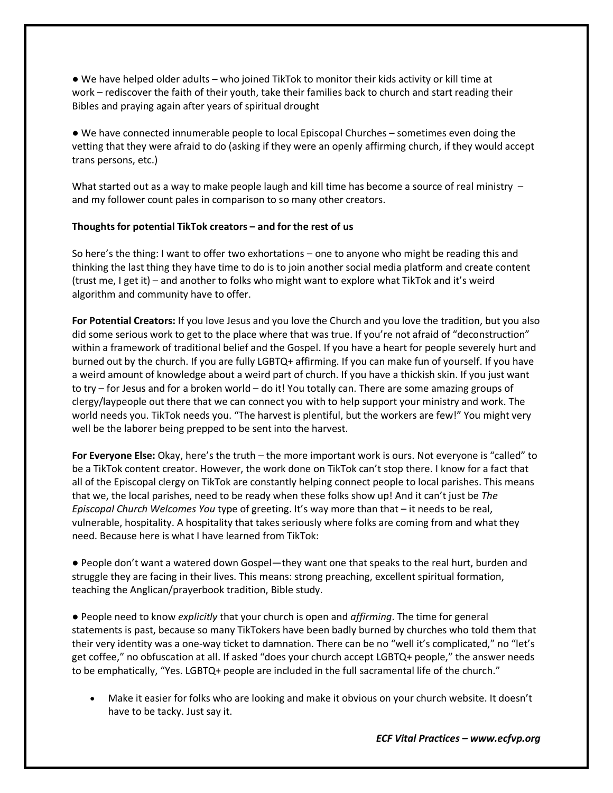● We have helped older adults – who joined TikTok to monitor their kids activity or kill time at work *–* rediscover the faith of their youth, take their families back to church and start reading their Bibles and praying again after years of spiritual drought

● We have connected innumerable people to local Episcopal Churches – sometimes even doing the vetting that they were afraid to do (asking if they were an openly affirming church, if they would accept trans persons, etc.)

What started out as a way to make people laugh and kill time has become a source of real ministry  $$ and my follower count pales in comparison to so many other creators.

## **Thoughts for potential TikTok creators – and for the rest of us**

So here's the thing: I want to offer two exhortations – one to anyone who might be reading this and thinking the last thing they have time to do is to join another social media platform and create content (trust me, I get it) – and another to folks who might want to explore what TikTok and it's weird algorithm and community have to offer.

**For Potential Creators:** If you love Jesus and you love the Church and you love the tradition, but you also did some serious work to get to the place where that was true. If you're not afraid of "deconstruction" within a framework of traditional belief and the Gospel. If you have a heart for people severely hurt and burned out by the church. If you are fully LGBTQ+ affirming. If you can make fun of yourself. If you have a weird amount of knowledge about a weird part of church. If you have a thickish skin. If you just want to try – for Jesus and for a broken world – do it! You totally can. There are some amazing groups of clergy/laypeople out there that we can connect you with to help support your ministry and work. The world needs you. TikTok needs you. "The harvest is plentiful, but the workers are few!" You might very well be the laborer being prepped to be sent into the harvest.

**For Everyone Else:** Okay, here's the truth – the more important work is ours. Not everyone is "called" to be a TikTok content creator. However, the work done on TikTok can't stop there. I know for a fact that all of the Episcopal clergy on TikTok are constantly helping connect people to local parishes. This means that we, the local parishes, need to be ready when these folks show up! And it can't just be *The Episcopal Church Welcomes You* type of greeting. It's way more than that – it needs to be real, vulnerable, hospitality. A hospitality that takes seriously where folks are coming from and what they need. Because here is what I have learned from TikTok:

● People don't want a watered down Gospel—they want one that speaks to the real hurt, burden and struggle they are facing in their lives. This means: strong preaching, excellent spiritual formation, teaching the Anglican/prayerbook tradition, Bible study.

● People need to know *explicitly* that your church is open and *affirming*. The time for general statements is past, because so many TikTokers have been badly burned by churches who told them that their very identity was a one-way ticket to damnation. There can be no "well it's complicated," no "let's get coffee," no obfuscation at all. If asked "does your church accept LGBTQ+ people," the answer needs to be emphatically, "Yes. LGBTQ+ people are included in the full sacramental life of the church."

• Make it easier for folks who are looking and make it obvious on your church website. It doesn't have to be tacky. Just say it.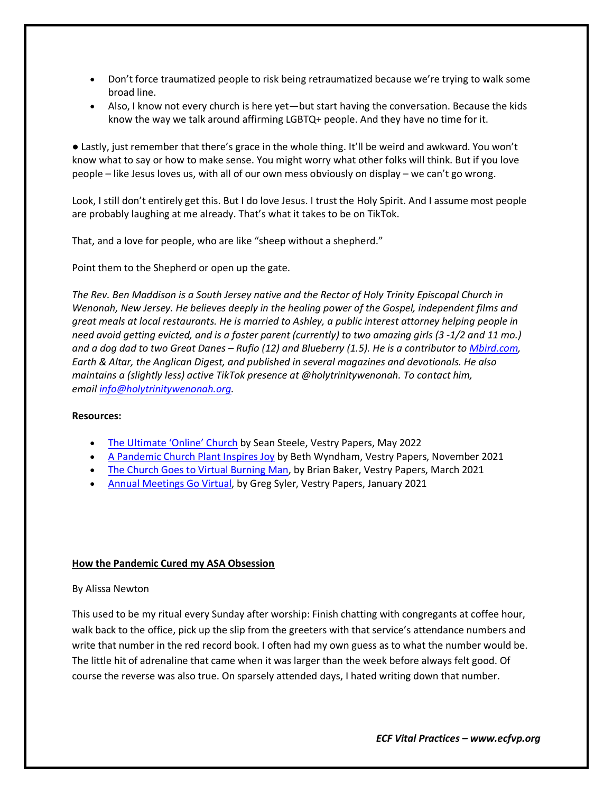- Don't force traumatized people to risk being retraumatized because we're trying to walk some broad line.
- Also, I know not every church is here yet—but start having the conversation. Because the kids know the way we talk around affirming LGBTQ+ people. And they have no time for it.

● Lastly, just remember that there's grace in the whole thing. It'll be weird and awkward. You won't know what to say or how to make sense. You might worry what other folks will think. But if you love people – like Jesus loves us, with all of our own mess obviously on display – we can't go wrong.

Look, I still don't entirely get this. But I do love Jesus. I trust the Holy Spirit. And I assume most people are probably laughing at me already. That's what it takes to be on TikTok.

That, and a love for people, who are like "sheep without a shepherd."

Point them to the Shepherd or open up the gate.

*The Rev. Ben Maddison is a South Jersey native and the Rector of Holy Trinity Episcopal Church in Wenonah, New Jersey. He believes deeply in the healing power of the Gospel, independent films and great meals at local restaurants. He is married to Ashley, a public interest attorney helping people in need avoid getting evicted, and is a foster parent (currently) to two amazing girls (3 -1/2 and 11 mo.) and a dog dad to two Great Danes – Rufio (12) and Blueberry (1.5). He is a contributor to [Mbird.com,](https://linkprotect.cudasvc.com/url?a=https%3a%2f%2fMbird.com&c=E,1,wNHs_mUfF2ZTshxm3HF7U8M36kkTndQqfVgmPV0HBWCzS4fY6CDMuqLFSGwPUPwQ8tvxxbjYSHxxBFekmSXRZw9CuH8svhd6NKgjECcdO44O&typo=1&ancr_add=1) Earth & Altar, the Anglican Digest, and published in several magazines and devotionals. He also maintains a (slightly less) active TikTok presence at @holytrinitywenonah. To contact him, email [info@holytrinitywenonah.org.](mailto:info@holytrinitywenonah.org)*

#### **Resources:**

- [The Ultimate 'Online' Church](https://www.ecfvp.org/vestry-papers/article/1000/the-ultimate-online-church) by Sean Steele, Vestry Papers, May 2022
- [A Pandemic Church Plant Inspires Joy](https://www.ecfvp.org/vestry-papers/article/967/a-pandemic-church-plant-inspires-joy) by Beth Wyndham, Vestry Papers, November 2021
- [The Church Goes to Virtual Burning Man,](https://www.ecfvp.org/vestry-papers/article/910/the-church-goes-to-virtual-burning-man) by Brian Baker, Vestry Papers, March 2021
- [Annual Meetings Go Virtual,](https://www.ecfvp.org/vestry-papers/article/896/annual-meetings-go-virtual) by Greg Syler, Vestry Papers, January 2021

## **How the Pandemic Cured my ASA Obsession**

## By Alissa Newton

This used to be my ritual every Sunday after worship: Finish chatting with congregants at coffee hour, walk back to the office, pick up the slip from the greeters with that service's attendance numbers and write that number in the red record book. I often had my own guess as to what the number would be. The little hit of adrenaline that came when it was larger than the week before always felt good. Of course the reverse was also true. On sparsely attended days, I hated writing down that number.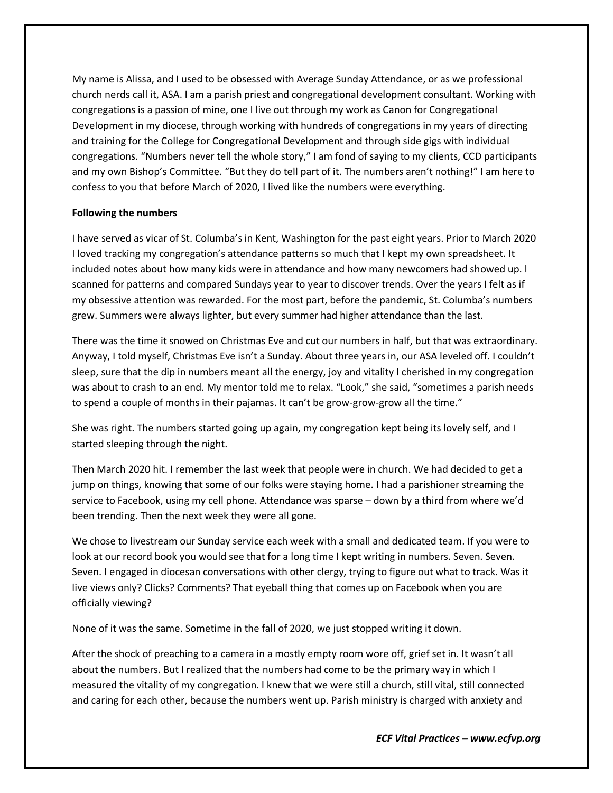My name is Alissa, and I used to be obsessed with Average Sunday Attendance, or as we professional church nerds call it, ASA. I am a parish priest and congregational development consultant. Working with congregations is a passion of mine, one I live out through my work as Canon for Congregational Development in my diocese, through working with hundreds of congregations in my years of directing and training for the College for Congregational Development and through side gigs with individual congregations. "Numbers never tell the whole story," I am fond of saying to my clients, CCD participants and my own Bishop's Committee. "But they do tell part of it. The numbers aren't nothing!" I am here to confess to you that before March of 2020, I lived like the numbers were everything.

#### **Following the numbers**

I have served as vicar of St. Columba's in Kent, Washington for the past eight years. Prior to March 2020 I loved tracking my congregation's attendance patterns so much that I kept my own spreadsheet. It included notes about how many kids were in attendance and how many newcomers had showed up. I scanned for patterns and compared Sundays year to year to discover trends. Over the years I felt as if my obsessive attention was rewarded. For the most part, before the pandemic, St. Columba's numbers grew. Summers were always lighter, but every summer had higher attendance than the last.

There was the time it snowed on Christmas Eve and cut our numbers in half, but that was extraordinary. Anyway, I told myself, Christmas Eve isn't a Sunday. About three years in, our ASA leveled off. I couldn't sleep, sure that the dip in numbers meant all the energy, joy and vitality I cherished in my congregation was about to crash to an end. My mentor told me to relax. "Look," she said, "sometimes a parish needs to spend a couple of months in their pajamas. It can't be grow-grow-grow all the time."

She was right. The numbers started going up again, my congregation kept being its lovely self, and I started sleeping through the night.

Then March 2020 hit. I remember the last week that people were in church. We had decided to get a jump on things, knowing that some of our folks were staying home. I had a parishioner streaming the service to Facebook, using my cell phone. Attendance was sparse – down by a third from where we'd been trending. Then the next week they were all gone.

We chose to livestream our Sunday service each week with a small and dedicated team. If you were to look at our record book you would see that for a long time I kept writing in numbers. Seven. Seven. Seven. I engaged in diocesan conversations with other clergy, trying to figure out what to track. Was it live views only? Clicks? Comments? That eyeball thing that comes up on Facebook when you are officially viewing?

None of it was the same. Sometime in the fall of 2020, we just stopped writing it down.

After the shock of preaching to a camera in a mostly empty room wore off, grief set in. It wasn't all about the numbers. But I realized that the numbers had come to be the primary way in which I measured the vitality of my congregation. I knew that we were still a church, still vital, still connected and caring for each other, because the numbers went up. Parish ministry is charged with anxiety and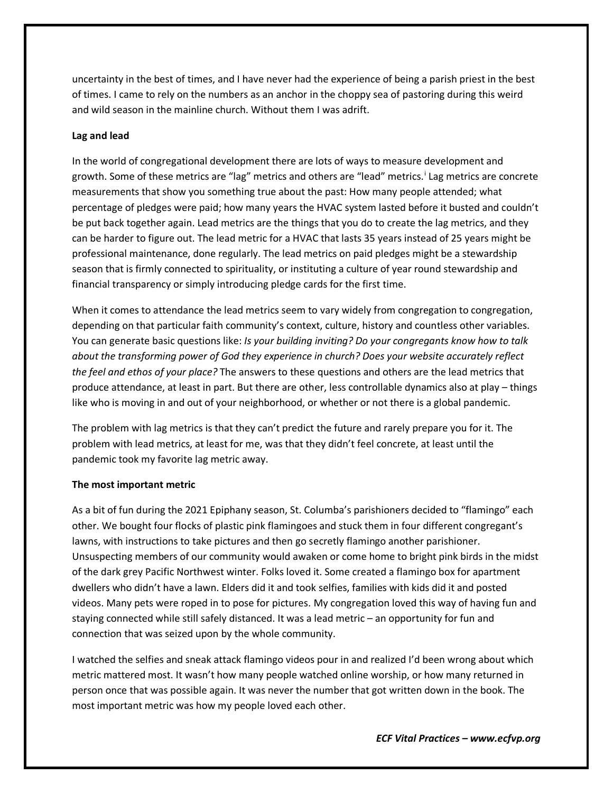uncertainty in the best of times, and I have never had the experience of being a parish priest in the best of times. I came to rely on the numbers as an anchor in the choppy sea of pastoring during this weird and wild season in the mainline church. Without them I was adrift.

## **Lag and lead**

In the world of congregational development there are lots of ways to measure development and growth. Some of these metr[i](#page-19-0)cs are "lag" metrics and others are "lead" metrics.<sup>i</sup> Lag metrics are concrete measurements that show you something true about the past: How many people attended; what percentage of pledges were paid; how many years the HVAC system lasted before it busted and couldn't be put back together again. Lead metrics are the things that you do to create the lag metrics, and they can be harder to figure out. The lead metric for a HVAC that lasts 35 years instead of 25 years might be professional maintenance, done regularly. The lead metrics on paid pledges might be a stewardship season that is firmly connected to spirituality, or instituting a culture of year round stewardship and financial transparency or simply introducing pledge cards for the first time.

When it comes to attendance the lead metrics seem to vary widely from congregation to congregation, depending on that particular faith community's context, culture, history and countless other variables. You can generate basic questions like: *Is your building inviting? Do your congregants know how to talk about the transforming power of God they experience in church? Does your website accurately reflect the feel and ethos of your place?* The answers to these questions and others are the lead metrics that produce attendance, at least in part. But there are other, less controllable dynamics also at play – things like who is moving in and out of your neighborhood, or whether or not there is a global pandemic.

The problem with lag metrics is that they can't predict the future and rarely prepare you for it. The problem with lead metrics, at least for me, was that they didn't feel concrete, at least until the pandemic took my favorite lag metric away.

## **The most important metric**

As a bit of fun during the 2021 Epiphany season, St. Columba's parishioners decided to "flamingo" each other. We bought four flocks of plastic pink flamingoes and stuck them in four different congregant's lawns, with instructions to take pictures and then go secretly flamingo another parishioner. Unsuspecting members of our community would awaken or come home to bright pink birds in the midst of the dark grey Pacific Northwest winter. Folks loved it. Some created a flamingo box for apartment dwellers who didn't have a lawn. Elders did it and took selfies, families with kids did it and posted videos. Many pets were roped in to pose for pictures. My congregation loved this way of having fun and staying connected while still safely distanced. It was a lead metric – an opportunity for fun and connection that was seized upon by the whole community.

I watched the selfies and sneak attack flamingo videos pour in and realized I'd been wrong about which metric mattered most. It wasn't how many people watched online worship, or how many returned in person once that was possible again. It was never the number that got written down in the book. The most important metric was how my people loved each other.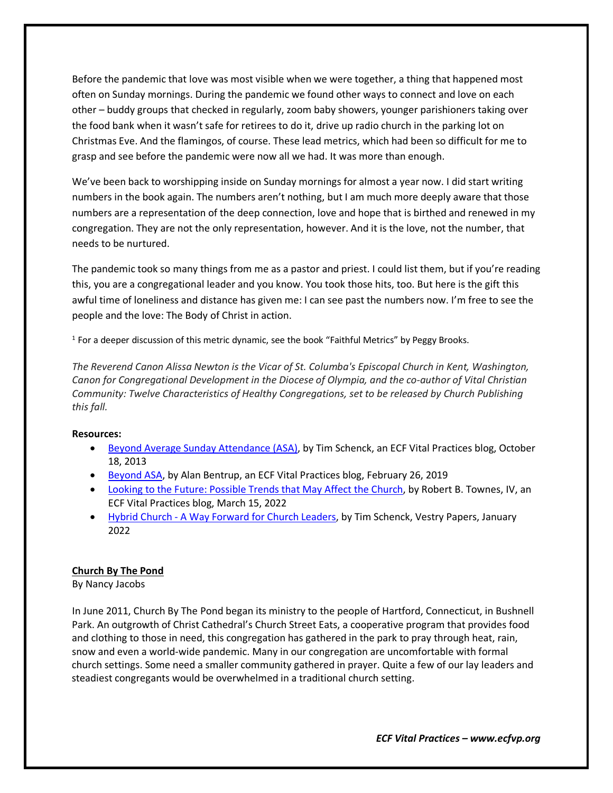Before the pandemic that love was most visible when we were together, a thing that happened most often on Sunday mornings. During the pandemic we found other ways to connect and love on each other – buddy groups that checked in regularly, zoom baby showers, younger parishioners taking over the food bank when it wasn't safe for retirees to do it, drive up radio church in the parking lot on Christmas Eve. And the flamingos, of course. These lead metrics, which had been so difficult for me to grasp and see before the pandemic were now all we had. It was more than enough.

We've been back to worshipping inside on Sunday mornings for almost a year now. I did start writing numbers in the book again. The numbers aren't nothing, but I am much more deeply aware that those numbers are a representation of the deep connection, love and hope that is birthed and renewed in my congregation. They are not the only representation, however. And it is the love, not the number, that needs to be nurtured.

The pandemic took so many things from me as a pastor and priest. I could list them, but if you're reading this, you are a congregational leader and you know. You took those hits, too. But here is the gift this awful time of loneliness and distance has given me: I can see past the numbers now. I'm free to see the people and the love: The Body of Christ in action.

<sup>1</sup> For a deeper discussion of this metric dynamic, see the book "Faithful Metrics" by Peggy Brooks.

*The Reverend Canon Alissa Newton is the Vicar of St. Columba's Episcopal Church in Kent, Washington, Canon for Congregational Development in the Diocese of Olympia, and the co-author of Vital Christian Community: Twelve Characteristics of Healthy Congregations, set to be released by Church Publishing this fall.*

#### **Resources:**

- [Beyond Average Sunday Attendance \(ASA\),](https://www.ecfvp.org/blogs/1959/beyond-average-sunday-attendance-asa) by Tim Schenck, an ECF Vital Practices blog, October 18, 2013
- [Beyond ASA,](https://www.ecfvp.org/blogs/3661/beyond-asa) by Alan Bentrup, an ECF Vital Practices blog, February 26, 2019
- [Looking to the Future: Possible Trends that May Affect the Church,](https://www.ecfvp.org/blogs/3951/looking-to-the-future-possible-trends-that-may-affect-the-church) by Robert B. Townes, IV, an ECF Vital Practices blog, March 15, 2022
- [Hybrid Church A Way Forward for Church Leaders,](https://www.ecfvp.org/vestry-papers/article/979/hybrid-church-a-way-forward-for-church-leaders) by Tim Schenck, Vestry Papers, January 2022

#### **Church By The Pond**

By Nancy Jacobs

In June 2011, Church By The Pond began its ministry to the people of Hartford, Connecticut, in Bushnell Park. An outgrowth of Christ Cathedral's Church Street Eats, a cooperative program that provides food and clothing to those in need, this congregation has gathered in the park to pray through heat, rain, snow and even a world-wide pandemic. Many in our congregation are uncomfortable with formal church settings. Some need a smaller community gathered in prayer. Quite a few of our lay leaders and steadiest congregants would be overwhelmed in a traditional church setting.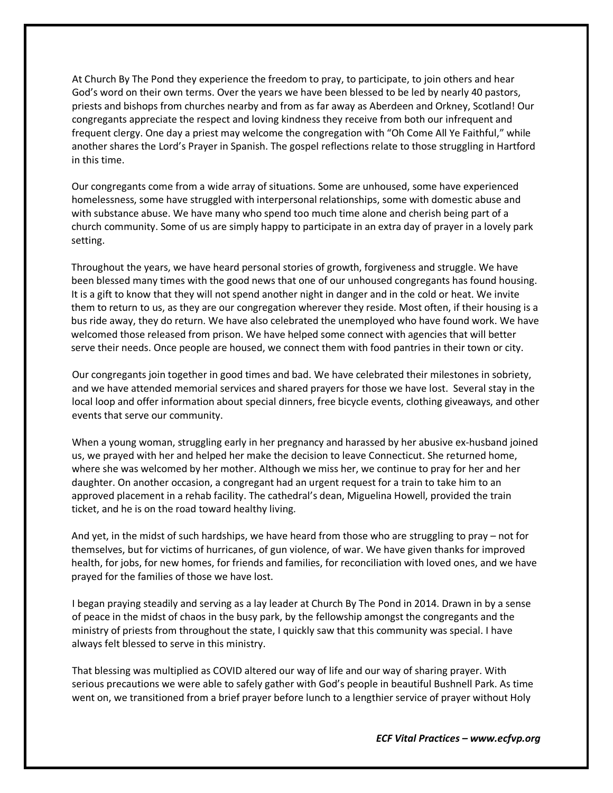At Church By The Pond they experience the freedom to pray, to participate, to join others and hear God's word on their own terms. Over the years we have been blessed to be led by nearly 40 pastors, priests and bishops from churches nearby and from as far away as Aberdeen and Orkney, Scotland! Our congregants appreciate the respect and loving kindness they receive from both our infrequent and frequent clergy. One day a priest may welcome the congregation with "Oh Come All Ye Faithful," while another shares the Lord's Prayer in Spanish. The gospel reflections relate to those struggling in Hartford in this time.

Our congregants come from a wide array of situations. Some are unhoused, some have experienced homelessness, some have struggled with interpersonal relationships, some with domestic abuse and with substance abuse. We have many who spend too much time alone and cherish being part of a church community. Some of us are simply happy to participate in an extra day of prayer in a lovely park setting.

Throughout the years, we have heard personal stories of growth, forgiveness and struggle. We have been blessed many times with the good news that one of our unhoused congregants has found housing. It is a gift to know that they will not spend another night in danger and in the cold or heat. We invite them to return to us, as they are our congregation wherever they reside. Most often, if their housing is a bus ride away, they do return. We have also celebrated the unemployed who have found work. We have welcomed those released from prison. We have helped some connect with agencies that will better serve their needs. Once people are housed, we connect them with food pantries in their town or city.

Our congregants join together in good times and bad. We have celebrated their milestones in sobriety, and we have attended memorial services and shared prayers for those we have lost. Several stay in the local loop and offer information about special dinners, free bicycle events, clothing giveaways, and other events that serve our community.

When a young woman, struggling early in her pregnancy and harassed by her abusive ex-husband joined us, we prayed with her and helped her make the decision to leave Connecticut. She returned home, where she was welcomed by her mother. Although we miss her, we continue to pray for her and her daughter. On another occasion, a congregant had an urgent request for a train to take him to an approved placement in a rehab facility. The cathedral's dean, Miguelina Howell, provided the train ticket, and he is on the road toward healthy living.

And yet, in the midst of such hardships, we have heard from those who are struggling to pray – not for themselves, but for victims of hurricanes, of gun violence, of war. We have given thanks for improved health, for jobs, for new homes, for friends and families, for reconciliation with loved ones, and we have prayed for the families of those we have lost.

I began praying steadily and serving as a lay leader at Church By The Pond in 2014. Drawn in by a sense of peace in the midst of chaos in the busy park, by the fellowship amongst the congregants and the ministry of priests from throughout the state, I quickly saw that this community was special. I have always felt blessed to serve in this ministry.

That blessing was multiplied as COVID altered our way of life and our way of sharing prayer. With serious precautions we were able to safely gather with God's people in beautiful Bushnell Park. As time went on, we transitioned from a brief prayer before lunch to a lengthier service of prayer without Holy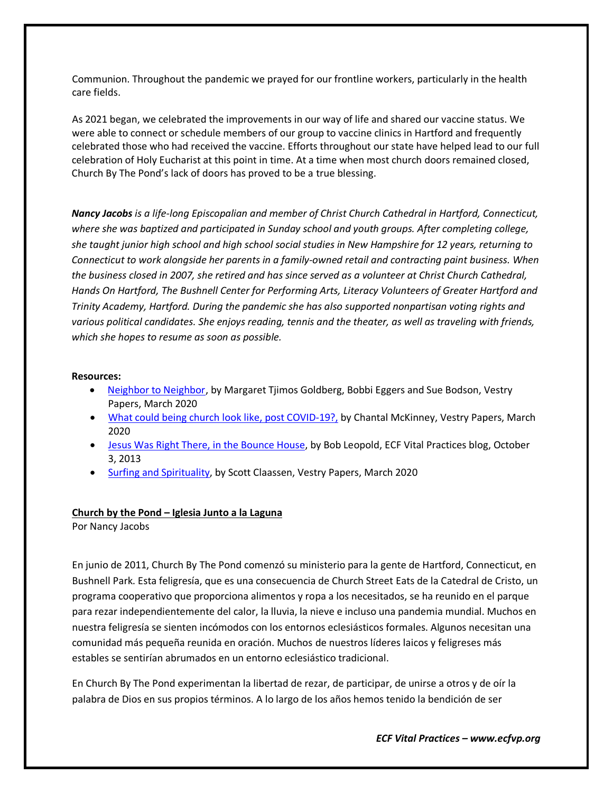Communion. Throughout the pandemic we prayed for our frontline workers, particularly in the health care fields.

As 2021 began, we celebrated the improvements in our way of life and shared our vaccine status. We were able to connect or schedule members of our group to vaccine clinics in Hartford and frequently celebrated those who had received the vaccine. Efforts throughout our state have helped lead to our full celebration of Holy Eucharist at this point in time. At a time when most church doors remained closed, Church By The Pond's lack of doors has proved to be a true blessing.

*Nancy Jacobs is a life-long Episcopalian and member of Christ Church Cathedral in Hartford, Connecticut, where she was baptized and participated in Sunday school and youth groups. After completing college, she taught junior high school and high school social studies in New Hampshire for 12 years, returning to Connecticut to work alongside her parents in a family-owned retail and contracting paint business. When the business closed in 2007, she retired and has since served as a volunteer at Christ Church Cathedral, Hands On Hartford, The Bushnell Center for Performing Arts, Literacy Volunteers of Greater Hartford and Trinity Academy, Hartford. During the pandemic she has also supported nonpartisan voting rights and various political candidates. She enjoys reading, tennis and the theater, as well as traveling with friends, which she hopes to resume as soon as possible.*

#### **Resources:**

- [Neighbor to Neighbor,](https://www.ecfvp.org/vestry-papers/article/823/neighbor-to-neighbor) by Margaret Tjimos Goldberg, Bobbi Eggers and Sue Bodson, Vestry Papers, March 2020
- [What could being church look like, post COVID-19?,](https://www.ecfvp.org/vestry-papers/article/831/what-could-being-church-look-like-post-covid-19) by Chantal McKinney, Vestry Papers, March 2020
- Jesus Was [Right There, in the Bounce House,](https://www.ecfvp.org/blogs/1927/jesus-was-right-there-in-the-bounce-house) by Bob Leopold, ECF Vital Practices blog, October 3, 2013
- [Surfing and Spirituality,](https://www.ecfvp.org/vestry-papers/article/829/surfing-and-spirituality) by Scott Claassen, Vestry Papers, March 2020

#### **Church by the Pond – Iglesia Junto a la Laguna**

Por Nancy Jacobs

En junio de 2011, Church By The Pond comenzó su ministerio para la gente de Hartford, Connecticut, en Bushnell Park. Esta feligresía, que es una consecuencia de Church Street Eats de la Catedral de Cristo, un programa cooperativo que proporciona alimentos y ropa a los necesitados, se ha reunido en el parque para rezar independientemente del calor, la lluvia, la nieve e incluso una pandemia mundial. Muchos en nuestra feligresía se sienten incómodos con los entornos eclesiásticos formales. Algunos necesitan una comunidad más pequeña reunida en oración. Muchos de nuestros líderes laicos y feligreses más estables se sentirían abrumados en un entorno eclesiástico tradicional.

En Church By The Pond experimentan la libertad de rezar, de participar, de unirse a otros y de oír la palabra de Dios en sus propios términos. A lo largo de los años hemos tenido la bendición de ser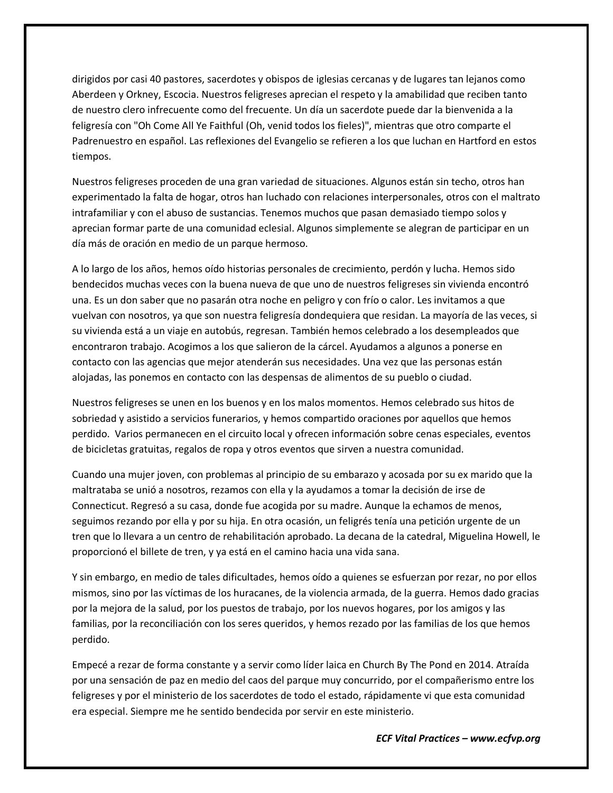dirigidos por casi 40 pastores, sacerdotes y obispos de iglesias cercanas y de lugares tan lejanos como Aberdeen y Orkney, Escocia. Nuestros feligreses aprecian el respeto y la amabilidad que reciben tanto de nuestro clero infrecuente como del frecuente. Un día un sacerdote puede dar la bienvenida a la feligresía con "Oh Come All Ye Faithful (Oh, venid todos los fieles)", mientras que otro comparte el Padrenuestro en español. Las reflexiones del Evangelio se refieren a los que luchan en Hartford en estos tiempos.

Nuestros feligreses proceden de una gran variedad de situaciones. Algunos están sin techo, otros han experimentado la falta de hogar, otros han luchado con relaciones interpersonales, otros con el maltrato intrafamiliar y con el abuso de sustancias. Tenemos muchos que pasan demasiado tiempo solos y aprecian formar parte de una comunidad eclesial. Algunos simplemente se alegran de participar en un día más de oración en medio de un parque hermoso.

A lo largo de los años, hemos oído historias personales de crecimiento, perdón y lucha. Hemos sido bendecidos muchas veces con la buena nueva de que uno de nuestros feligreses sin vivienda encontró una. Es un don saber que no pasarán otra noche en peligro y con frío o calor. Les invitamos a que vuelvan con nosotros, ya que son nuestra feligresía dondequiera que residan. La mayoría de las veces, si su vivienda está a un viaje en autobús, regresan. También hemos celebrado a los desempleados que encontraron trabajo. Acogimos a los que salieron de la cárcel. Ayudamos a algunos a ponerse en contacto con las agencias que mejor atenderán sus necesidades. Una vez que las personas están alojadas, las ponemos en contacto con las despensas de alimentos de su pueblo o ciudad.

Nuestros feligreses se unen en los buenos y en los malos momentos. Hemos celebrado sus hitos de sobriedad y asistido a servicios funerarios, y hemos compartido oraciones por aquellos que hemos perdido. Varios permanecen en el circuito local y ofrecen información sobre cenas especiales, eventos de bicicletas gratuitas, regalos de ropa y otros eventos que sirven a nuestra comunidad.

Cuando una mujer joven, con problemas al principio de su embarazo y acosada por su ex marido que la maltrataba se unió a nosotros, rezamos con ella y la ayudamos a tomar la decisión de irse de Connecticut. Regresó a su casa, donde fue acogida por su madre. Aunque la echamos de menos, seguimos rezando por ella y por su hija. En otra ocasión, un feligrés tenía una petición urgente de un tren que lo llevara a un centro de rehabilitación aprobado. La decana de la catedral, Miguelina Howell, le proporcionó el billete de tren, y ya está en el camino hacia una vida sana.

Y sin embargo, en medio de tales dificultades, hemos oído a quienes se esfuerzan por rezar, no por ellos mismos, sino por las víctimas de los huracanes, de la violencia armada, de la guerra. Hemos dado gracias por la mejora de la salud, por los puestos de trabajo, por los nuevos hogares, por los amigos y las familias, por la reconciliación con los seres queridos, y hemos rezado por las familias de los que hemos perdido.

Empecé a rezar de forma constante y a servir como líder laica en Church By The Pond en 2014. Atraída por una sensación de paz en medio del caos del parque muy concurrido, por el compañerismo entre los feligreses y por el ministerio de los sacerdotes de todo el estado, rápidamente vi que esta comunidad era especial. Siempre me he sentido bendecida por servir en este ministerio.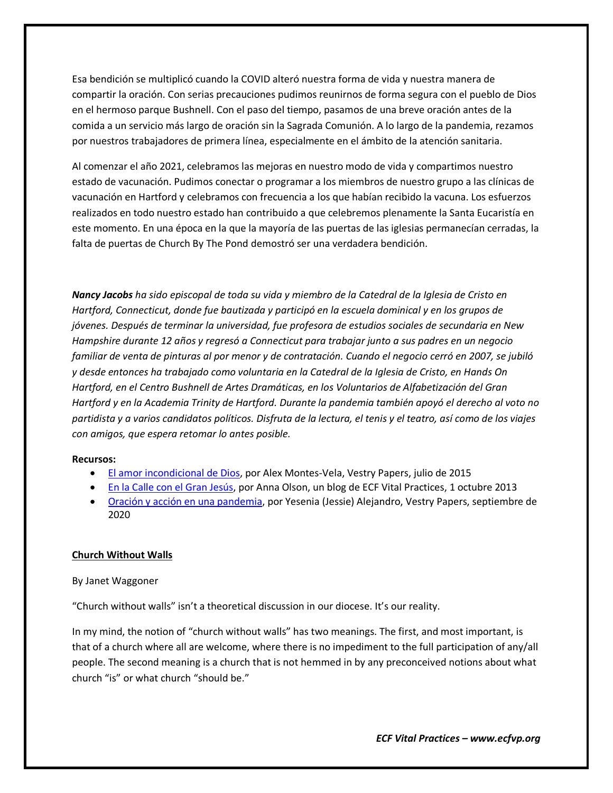Esa bendición se multiplicó cuando la COVID alteró nuestra forma de vida y nuestra manera de compartir la oración. Con serias precauciones pudimos reunirnos de forma segura con el pueblo de Dios en el hermoso parque Bushnell. Con el paso del tiempo, pasamos de una breve oración antes de la comida a un servicio más largo de oración sin la Sagrada Comunión. A lo largo de la pandemia, rezamos por nuestros trabajadores de primera línea, especialmente en el ámbito de la atención sanitaria.

Al comenzar el año 2021, celebramos las mejoras en nuestro modo de vida y compartimos nuestro estado de vacunación. Pudimos conectar o programar a los miembros de nuestro grupo a las clínicas de vacunación en Hartford y celebramos con frecuencia a los que habían recibido la vacuna. Los esfuerzos realizados en todo nuestro estado han contribuido a que celebremos plenamente la Santa Eucaristía en este momento. En una época en la que la mayoría de las puertas de las iglesias permanecían cerradas, la falta de puertas de Church By The Pond demostró ser una verdadera bendición.

*Nancy Jacobs ha sido episcopal de toda su vida y miembro de la Catedral de la Iglesia de Cristo en Hartford, Connecticut, donde fue bautizada y participó en la escuela dominical y en los grupos de jóvenes. Después de terminar la universidad, fue profesora de estudios sociales de secundaria en New Hampshire durante 12 años y regresó a Connecticut para trabajar junto a sus padres en un negocio familiar de venta de pinturas al por menor y de contratación. Cuando el negocio cerró en 2007, se jubiló y desde entonces ha trabajado como voluntaria en la Catedral de la Iglesia de Cristo, en Hands On Hartford, en el Centro Bushnell de Artes Dramáticas, en los Voluntarios de Alfabetización del Gran Hartford y en la Academia Trinity de Hartford. Durante la pandemia también apoyó el derecho al voto no partidista y a varios candidatos políticos. Disfruta de la lectura, el tenis y el teatro, así como de los viajes con amigos, que espera retomar lo antes posible.*

#### **Recursos:**

- [El amor incondicional de Dios,](https://www.ecfvp.org/vestry-papers/article/501/el-amor-incondicional-de-dios) por Alex Montes-Vela, Vestry Papers, julio de 2015
- [En la Calle con el Gran Jesús,](https://www.ecfvp.org/blogs/1921/en-la-calle-con-el-gran-jess) por Anna Olson, un blog de ECF Vital Practices, 1 octubre 2013
- [Oración y acción en una pandemia,](https://www.ecfvp.org/vestry-papers/article/871/oracin-y-accin-en-una-pandemia) por Yesenia (Jessie) Alejandro, Vestry Papers, septiembre de 2020

#### **Church Without Walls**

#### By Janet Waggoner

"Church without walls" isn't a theoretical discussion in our diocese. It's our reality.

In my mind, the notion of "church without walls" has two meanings. The first, and most important, is that of a church where all are welcome, where there is no impediment to the full participation of any/all people. The second meaning is a church that is not hemmed in by any preconceived notions about what church "is" or what church "should be."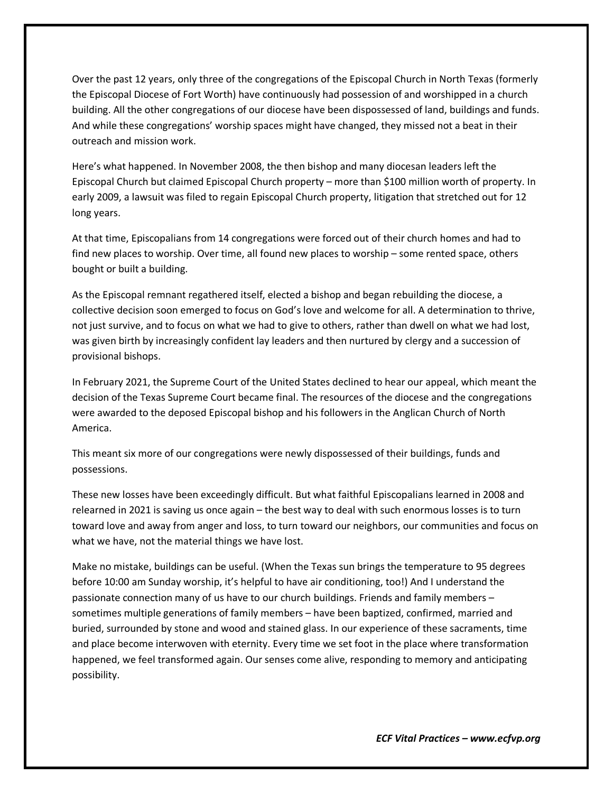Over the past 12 years, only three of the congregations of the Episcopal Church in North Texas (formerly the Episcopal Diocese of Fort Worth) have continuously had possession of and worshipped in a church building. All the other congregations of our diocese have been dispossessed of land, buildings and funds. And while these congregations' worship spaces might have changed, they missed not a beat in their outreach and mission work.

Here's what happened. In November 2008, the then bishop and many diocesan leaders left the Episcopal Church but claimed Episcopal Church property – more than \$100 million worth of property. In early 2009, a lawsuit was filed to regain Episcopal Church property, litigation that stretched out for 12 long years.

At that time, Episcopalians from 14 congregations were forced out of their church homes and had to find new places to worship. Over time, all found new places to worship – some rented space, others bought or built a building.

As the Episcopal remnant regathered itself, elected a bishop and began rebuilding the diocese, a collective decision soon emerged to focus on God's love and welcome for all. A determination to thrive, not just survive, and to focus on what we had to give to others, rather than dwell on what we had lost, was given birth by increasingly confident lay leaders and then nurtured by clergy and a succession of provisional bishops.

In February 2021, the Supreme Court of the United States declined to hear our appeal, which meant the decision of the Texas Supreme Court became final. The resources of the diocese and the congregations were awarded to the deposed Episcopal bishop and his followers in the Anglican Church of North America.

This meant six more of our congregations were newly dispossessed of their buildings, funds and possessions.

These new losses have been exceedingly difficult. But what faithful Episcopalians learned in 2008 and relearned in 2021 is saving us once again – the best way to deal with such enormous losses is to turn toward love and away from anger and loss, to turn toward our neighbors, our communities and focus on what we have, not the material things we have lost.

Make no mistake, buildings can be useful. (When the Texas sun brings the temperature to 95 degrees before 10:00 am Sunday worship, it's helpful to have air conditioning, too!) And I understand the passionate connection many of us have to our church buildings. Friends and family members – sometimes multiple generations of family members – have been baptized, confirmed, married and buried, surrounded by stone and wood and stained glass. In our experience of these sacraments, time and place become interwoven with eternity. Every time we set foot in the place where transformation happened, we feel transformed again. Our senses come alive, responding to memory and anticipating possibility.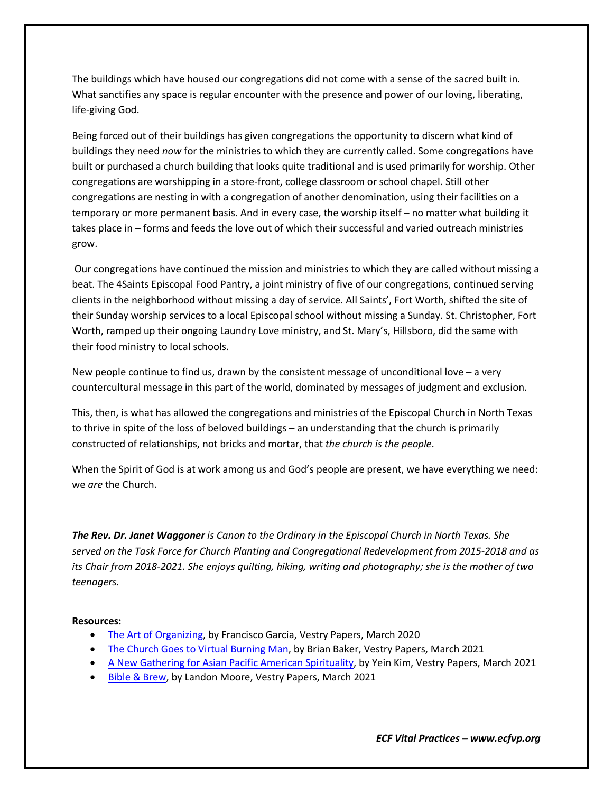The buildings which have housed our congregations did not come with a sense of the sacred built in. What sanctifies any space is regular encounter with the presence and power of our loving, liberating, life-giving God.

Being forced out of their buildings has given congregations the opportunity to discern what kind of buildings they need *now* for the ministries to which they are currently called. Some congregations have built or purchased a church building that looks quite traditional and is used primarily for worship. Other congregations are worshipping in a store-front, college classroom or school chapel. Still other congregations are nesting in with a congregation of another denomination, using their facilities on a temporary or more permanent basis. And in every case, the worship itself – no matter what building it takes place in – forms and feeds the love out of which their successful and varied outreach ministries grow.

Our congregations have continued the mission and ministries to which they are called without missing a beat. The 4Saints Episcopal Food Pantry, a joint ministry of five of our congregations, continued serving clients in the neighborhood without missing a day of service. All Saints', Fort Worth, shifted the site of their Sunday worship services to a local Episcopal school without missing a Sunday. St. Christopher, Fort Worth, ramped up their ongoing Laundry Love ministry, and St. Mary's, Hillsboro, did the same with their food ministry to local schools.

New people continue to find us, drawn by the consistent message of unconditional love  $-$  a very countercultural message in this part of the world, dominated by messages of judgment and exclusion.

This, then, is what has allowed the congregations and ministries of the Episcopal Church in North Texas to thrive in spite of the loss of beloved buildings – an understanding that the church is primarily constructed of relationships, not bricks and mortar, that *the church is the people*.

When the Spirit of God is at work among us and God's people are present, we have everything we need: we *are* the Church.

*The Rev. Dr. Janet Waggoner is Canon to the Ordinary in the Episcopal Church in North Texas. She served on the Task Force for Church Planting and Congregational Redevelopment from 2015-2018 and as its Chair from 2018-2021. She enjoys quilting, hiking, writing and photography; she is the mother of two teenagers.*

#### **Resources:**

- [The Art of Organizing,](https://www.ecfvp.org/vestry-papers/article/828/the-art-of-organizing) by Francisco Garcia, Vestry Papers, March 2020
- [The Church Goes to Virtual Burning Man,](https://www.ecfvp.org/vestry-papers/article/910/the-church-goes-to-virtual-burning-man) by Brian Baker, Vestry Papers, March 2021
- [A New Gathering for Asian Pacific American Spirituality,](https://www.ecfvp.org/vestry-papers/article/918/a-new-gathering-for-asian-pacific-american-spirituality) by Yein Kim, Vestry Papers, March 2021
- [Bible & Brew,](https://www.ecfvp.org/vestry-papers/article/909/bible-brew) by Landon Moore, Vestry Papers, March 2021